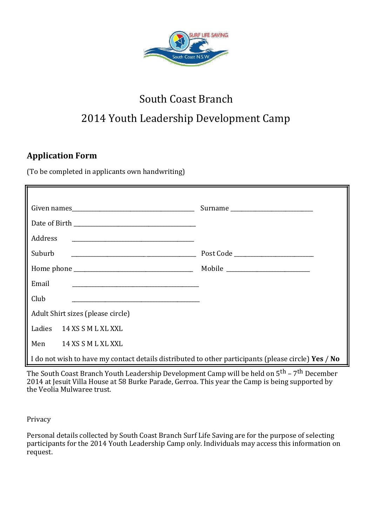

# South Coast Branch 2014 Youth Leadership Development Camp

# **Application Form**

(To be completed in applicants own handwriting)

| Address                                                                                             |                                      |  |  |  |
|-----------------------------------------------------------------------------------------------------|--------------------------------------|--|--|--|
| Suburb                                                                                              | Post Code __________________________ |  |  |  |
|                                                                                                     |                                      |  |  |  |
| Email                                                                                               |                                      |  |  |  |
| Club                                                                                                |                                      |  |  |  |
| Adult Shirt sizes (please circle)                                                                   |                                      |  |  |  |
| Ladies 14 XS S M L XL XXL                                                                           |                                      |  |  |  |
| Men 14 XS S M L XL XXL                                                                              |                                      |  |  |  |
| I do not wish to have my contact details distributed to other participants (please circle) Yes / No |                                      |  |  |  |

The South Coast Branch Youth Leadership Development Camp will be held on 5<sup>th</sup> – 7<sup>th</sup> December 2014 at Jesuit Villa House at 58 Burke Parade, Gerroa. This year the Camp is being supported by the Veolia Mulwaree trust.

Privacy

Personal details collected by South Coast Branch Surf Life Saving are for the purpose of selecting participants for the 2014 Youth Leadership Camp only. Individuals may access this information on request.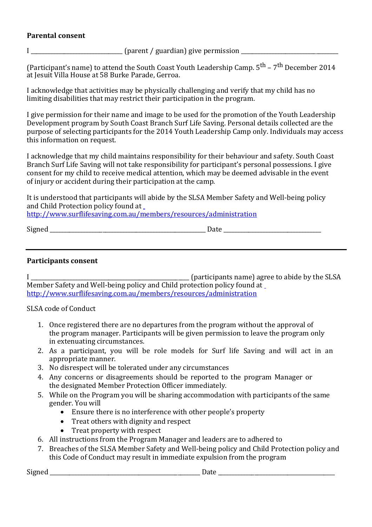## **Parental consent**

I \_\_\_\_\_\_\_\_\_\_\_\_\_\_\_\_\_\_\_\_\_\_\_\_\_\_\_\_\_\_\_\_\_ (parent / guardian) give permission \_\_\_\_\_\_\_\_\_\_\_\_\_\_\_\_\_\_\_\_\_\_\_\_\_\_\_\_\_\_\_\_\_\_\_

(Participant's name) to attend the South Coast Youth Leadership Camp. 5<sup>th</sup> – 7<sup>th</sup> December 2014 at Jesuit Villa House at 58 Burke Parade, Gerroa.

I acknowledge that activities may be physically challenging and verify that my child has no limiting disabilities that may restrict their participation in the program.

I give permission for their name and image to be used for the promotion of the Youth Leadership Development program by South Coast Branch Surf Life Saving. Personal details collected are the purpose of selecting participants for the 2014 Youth Leadership Camp only. Individuals may access this information on request.

I acknowledge that my child maintains responsibility for their behaviour and safety. South Coast Branch Surf Life Saving will not take responsibility for participant's personal possessions. I give consent for my child to receive medical attention, which may be deemed advisable in the event of injury or accident during their participation at the camp.

It is understood that participants will abide by the SLSA Member Safety and Well-being policy and Child Protection policy found at

<http://www.surflifesaving.com.au/members/resources/administration>

Signed Date  $\Box$ 

## **Participants consent**

I \_\_\_\_\_\_\_\_\_\_\_\_\_\_\_\_\_\_\_\_\_\_\_\_\_\_\_\_\_\_\_\_\_\_\_\_\_\_\_\_\_\_\_\_\_\_\_\_\_\_\_\_\_\_\_\_\_ (participants name) agree to abide by the SLSA Member Safety and Well-being policy and Child protection policy found at <http://www.surflifesaving.com.au/members/resources/administration>

SLSA code of Conduct

- 1. Once registered there are no departures from the program without the approval of the program manager. Participants will be given permission to leave the program only in extenuating circumstances.
- 2. As a participant, you will be role models for Surf life Saving and will act in an appropriate manner.
- 3. No disrespect will be tolerated under any circumstances
- 4. Any concerns or disagreements should be reported to the program Manager or the designated Member Protection Officer immediately.
- 5. While on the Program you will be sharing accommodation with participants of the same gender. You will
	- Ensure there is no interference with other people's property
	- Treat others with dignity and respect
	- Treat property with respect
- 6. All instructions from the Program Manager and leaders are to adhered to
- 7. Breaches of the SLSA Member Safety and Well-being policy and Child Protection policy and this Code of Conduct may result in immediate expulsion from the program

Signed \_\_\_\_\_\_\_\_\_\_\_\_\_\_\_\_\_\_\_\_\_\_\_\_\_\_\_\_\_\_\_\_\_\_\_\_\_\_\_\_\_\_\_\_\_\_\_\_\_\_\_\_\_\_ Date \_\_\_\_\_\_\_\_\_\_\_\_\_\_\_\_\_\_\_\_\_\_\_\_\_\_\_\_\_\_\_\_\_\_\_\_\_\_\_\_\_\_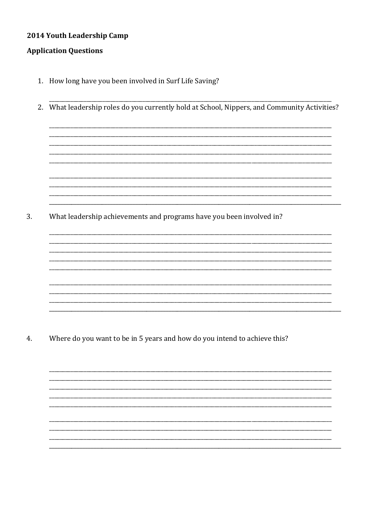## 2014 Youth Leadership Camp

#### **Application Questions**

- 1. How long have you been involved in Surf Life Saving?
- 2. What leadership roles do you currently hold at School, Nippers, and Community Activities?

3. What leadership achievements and programs have you been involved in?

 $4.$ Where do you want to be in 5 years and how do you intend to achieve this?